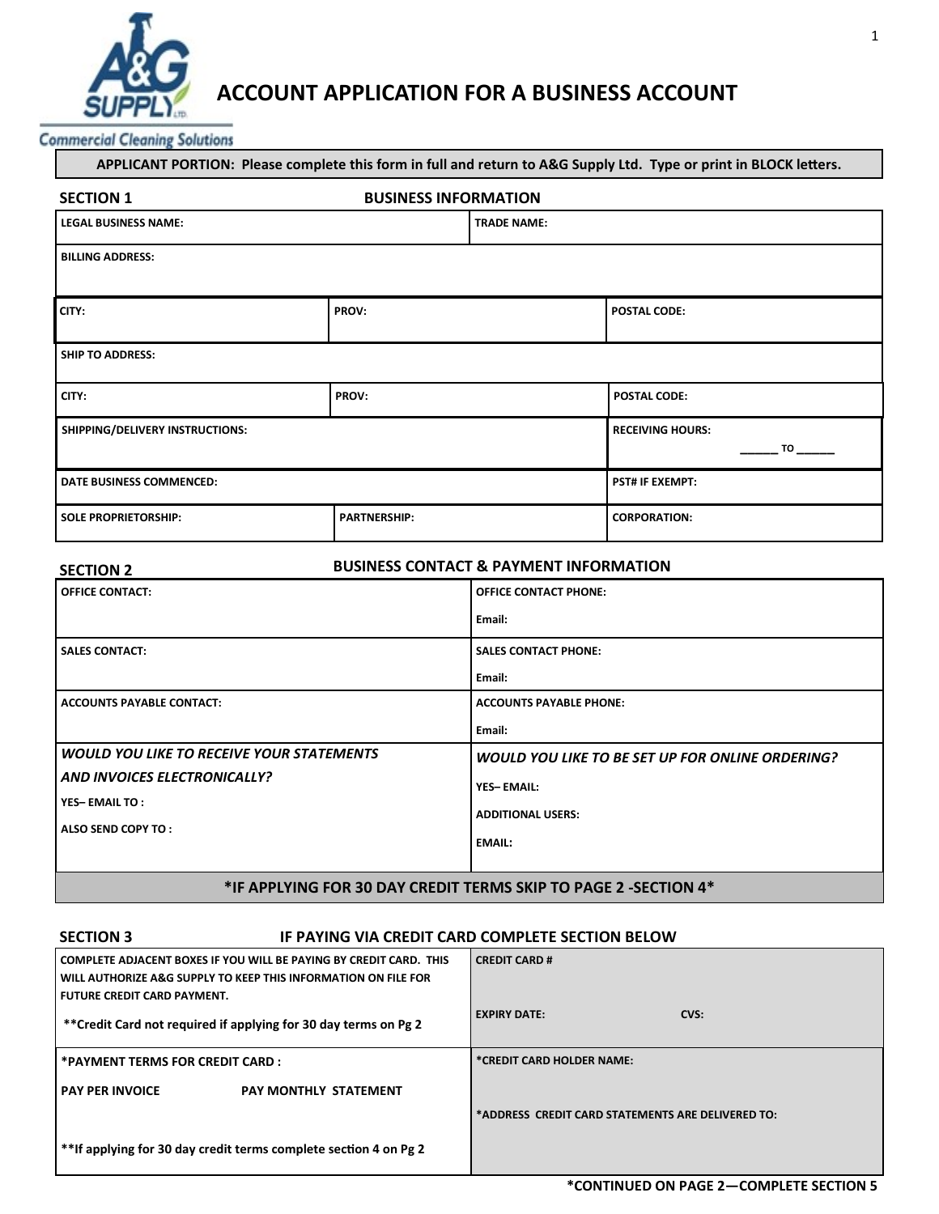

# ACCOUNT APPLICATION FOR A BUSINESS ACCOUNT

**Commercial Cleaning Solutions** 

| APPLICANT PORTION: Please complete this form in full and return to A&G Supply Ltd. Type or print in BLOCK letters. |                     |                               |                     |
|--------------------------------------------------------------------------------------------------------------------|---------------------|-------------------------------|---------------------|
| <b>BUSINESS INFORMATION</b><br><b>SECTION 1</b>                                                                    |                     |                               |                     |
| <b>LEGAL BUSINESS NAME:</b><br><b>TRADE NAME:</b>                                                                  |                     |                               |                     |
| <b>BILLING ADDRESS:</b>                                                                                            |                     |                               |                     |
| CITY:                                                                                                              | PROV:               |                               | <b>POSTAL CODE:</b> |
| <b>SHIP TO ADDRESS:</b>                                                                                            |                     |                               |                     |
| CITY:                                                                                                              | PROV:               |                               | <b>POSTAL CODE:</b> |
| SHIPPING/DELIVERY INSTRUCTIONS:                                                                                    |                     | <b>RECEIVING HOURS:</b><br>TO |                     |
| DATE BUSINESS COMMENCED:                                                                                           |                     | <b>PST# IF EXEMPT:</b>        |                     |
| <b>SOLE PROPRIETORSHIP:</b>                                                                                        | <b>PARTNERSHIP:</b> |                               | <b>CORPORATION:</b> |

| <b>SECTION 2</b>                                                | <b>BUSINESS CONTACT &amp; PAYMENT INFORMATION</b> |  |
|-----------------------------------------------------------------|---------------------------------------------------|--|
| <b>OFFICE CONTACT:</b>                                          | <b>OFFICE CONTACT PHONE:</b>                      |  |
|                                                                 | Email:                                            |  |
| <b>SALES CONTACT:</b>                                           | <b>SALES CONTACT PHONE:</b>                       |  |
|                                                                 | Email:                                            |  |
| <b>ACCOUNTS PAYABLE CONTACT:</b>                                | <b>ACCOUNTS PAYABLE PHONE:</b>                    |  |
|                                                                 | Email:                                            |  |
| WOULD YOU LIKE TO RECEIVE YOUR STATEMENTS                       | WOULD YOU LIKE TO BE SET UP FOR ONLINE ORDERING?  |  |
| AND INVOICES ELECTRONICALLY?                                    | <b>YES-EMAIL:</b>                                 |  |
| <b>YES-EMAILTO:</b><br>ALSO SEND COPY TO:                       | <b>ADDITIONAL USERS:</b>                          |  |
|                                                                 |                                                   |  |
|                                                                 | <b>EMAIL:</b>                                     |  |
| *IF APPLYING FOR 30 DAY CREDIT TERMS SKIP TO PAGE 2 -SECTION 4* |                                                   |  |

# SECTION 3 **IF PAYING VIA CREDIT CARD COMPLETE SECTION BELOW**

| l COMPLETE ADJACENT BOXES IF YOU WILL BE PAYING BY CREDIT CARD.  THIS<br>I WILL AUTHORIZE A&G SUPPLY TO KEEP THIS INFORMATION ON FILE FOR<br>l FUTURE CREDIT CARD PAYMENT. | <b>CREDIT CARD#</b>                               |
|----------------------------------------------------------------------------------------------------------------------------------------------------------------------------|---------------------------------------------------|
| **Credit Card not required if applying for 30 day terms on Pg 2                                                                                                            | <b>EXPIRY DATE:</b><br>CVS:                       |
| *PAYMENT TERMS FOR CREDIT CARD :                                                                                                                                           | *CREDIT CARD HOLDER NAME:                         |
| <b>PAY PER INVOICE</b><br><b>PAY MONTHLY STATEMENT</b>                                                                                                                     |                                                   |
|                                                                                                                                                                            | *ADDRESS CREDIT CARD STATEMENTS ARE DELIVERED TO: |
| **If applying for 30 day credit terms complete section 4 on Pg 2                                                                                                           |                                                   |